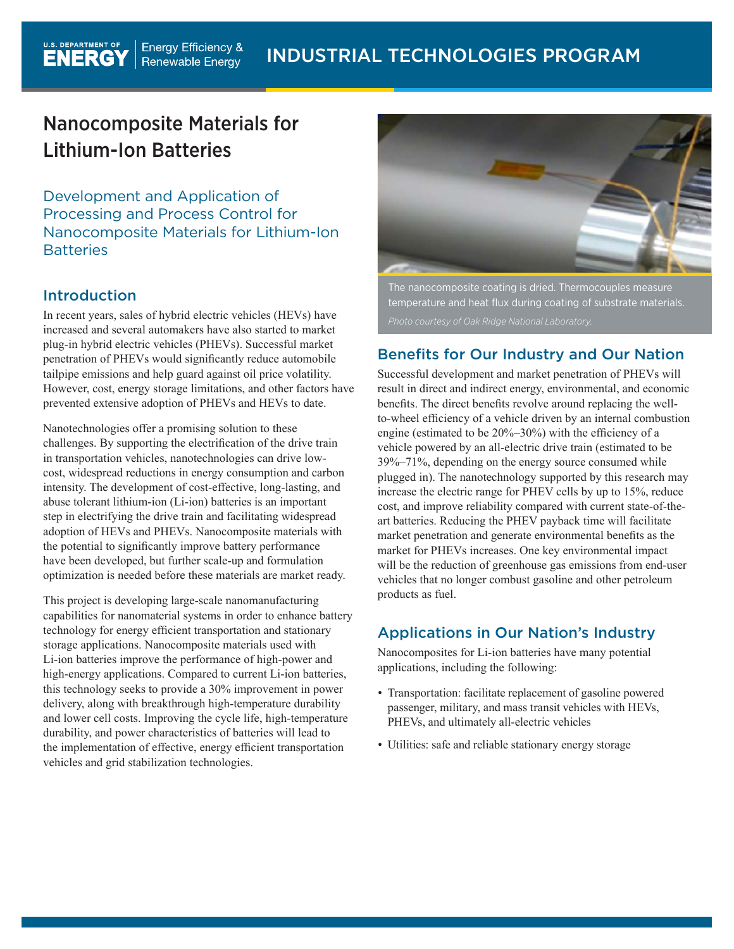# Nanocomposite Materials for Lithium-Ion Batteries

Development and Application of Processing and Process Control for Nanocomposite Materials for Lithium-Ion **Batteries** 

# Introduction

In recent years, sales of hybrid electric vehicles (HEVs) have increased and several automakers have also started to market plug-in hybrid electric vehicles (PHEVs). Successful market penetration of PHEVs would significantly reduce automobile tailpipe emissions and help guard against oil price volatility. However, cost, energy storage limitations, and other factors have prevented extensive adoption of PHEVs and HEVs to date.

Nanotechnologies offer a promising solution to these challenges. By supporting the electrification of the drive train in transportation vehicles, nanotechnologies can drive lowcost, widespread reductions in energy consumption and carbon intensity. The development of cost-effective, long-lasting, and abuse tolerant lithium-ion (Li-ion) batteries is an important step in electrifying the drive train and facilitating widespread adoption of HEVs and PHEVs. Nanocomposite materials with the potential to significantly improve battery performance have been developed, but further scale-up and formulation optimization is needed before these materials are market ready.

This project is developing large-scale nanomanufacturing capabilities for nanomaterial systems in order to enhance battery technology for energy efficient transportation and stationary storage applications. Nanocomposite materials used with Li-ion batteries improve the performance of high-power and high-energy applications. Compared to current Li-ion batteries, this technology seeks to provide a 30% improvement in power delivery, along with breakthrough high-temperature durability and lower cell costs. Improving the cycle life, high-temperature durability, and power characteristics of batteries will lead to the implementation of effective, energy efficient transportation vehicles and grid stabilization technologies.



The nanocomposite coating is dried. Thermocouples measure temperature and heat flux during coating of substrate materials.

# Benefits for Our Industry and Our Nation

Successful development and market penetration of PHEVs will result in direct and indirect energy, environmental, and economic benefits. The direct benefits revolve around replacing the wellto-wheel efficiency of a vehicle driven by an internal combustion engine (estimated to be 20%–30%) with the efficiency of a vehicle powered by an all-electric drive train (estimated to be 39%–71%, depending on the energy source consumed while plugged in). The nanotechnology supported by this research may increase the electric range for PHEV cells by up to 15%, reduce cost, and improve reliability compared with current state-of-theart batteries. Reducing the PHEV payback time will facilitate market penetration and generate environmental benefits as the market for PHEVs increases. One key environmental impact will be the reduction of greenhouse gas emissions from end-user vehicles that no longer combust gasoline and other petroleum products as fuel.

# Applications in Our Nation's Industry

Nanocomposites for Li-ion batteries have many potential applications, including the following:

- Transportation: facilitate replacement of gasoline powered passenger, military, and mass transit vehicles with HEVs, PHEVs, and ultimately all-electric vehicles
- Utilities: safe and reliable stationary energy storage